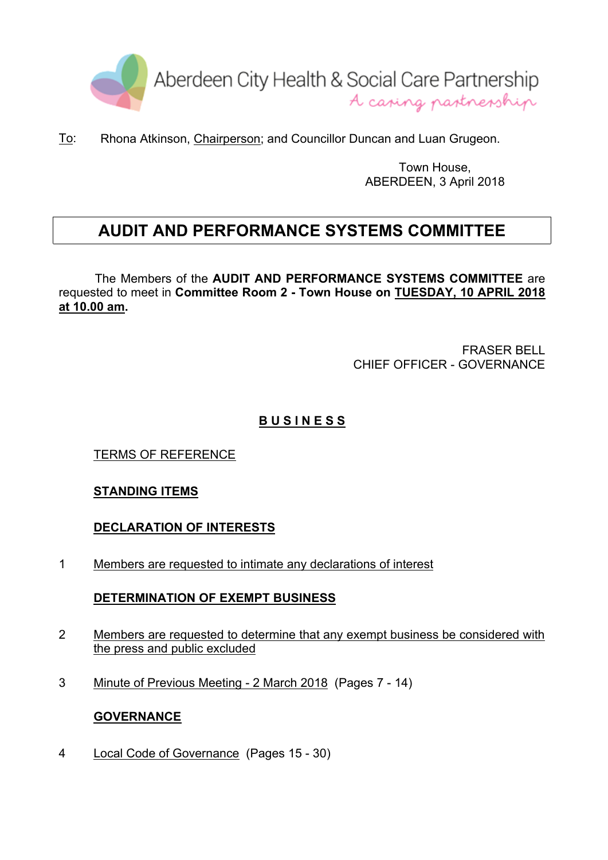

To: Rhona Atkinson, Chairperson; and Councillor Duncan and Luan Grugeon.

Town House, ABERDEEN, 3 April 2018

# **AUDIT AND PERFORMANCE SYSTEMS COMMITTEE**

The Members of the **AUDIT AND PERFORMANCE SYSTEMS COMMITTEE** are requested to meet in **Committee Room 2 - Town House on TUESDAY, 10 APRIL 2018 at 10.00 am.**

> FRASER BELL CHIEF OFFICER - GOVERNANCE

# **B U S I N E S S**

TERMS OF REFERENCE

## **STANDING ITEMS**

**DECLARATION OF INTERESTS**

1 Members are requested to intimate any declarations of interest

#### **DETERMINATION OF EXEMPT BUSINESS**

- 2 Members are requested to determine that any exempt business be considered with the press and public excluded
- 3 Minute of Previous Meeting 2 March 2018 (Pages 7 14)

#### **GOVERNANCE**

4 Local Code of Governance (Pages 15 - 30)